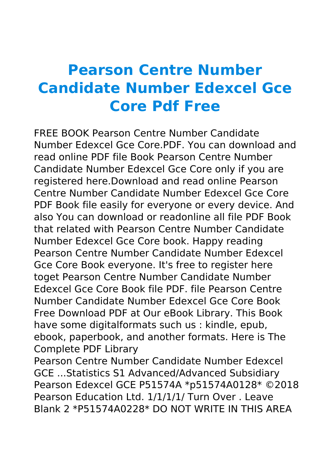## **Pearson Centre Number Candidate Number Edexcel Gce Core Pdf Free**

FREE BOOK Pearson Centre Number Candidate Number Edexcel Gce Core.PDF. You can download and read online PDF file Book Pearson Centre Number Candidate Number Edexcel Gce Core only if you are registered here.Download and read online Pearson Centre Number Candidate Number Edexcel Gce Core PDF Book file easily for everyone or every device. And also You can download or readonline all file PDF Book that related with Pearson Centre Number Candidate Number Edexcel Gce Core book. Happy reading Pearson Centre Number Candidate Number Edexcel Gce Core Book everyone. It's free to register here toget Pearson Centre Number Candidate Number Edexcel Gce Core Book file PDF. file Pearson Centre Number Candidate Number Edexcel Gce Core Book Free Download PDF at Our eBook Library. This Book have some digitalformats such us : kindle, epub, ebook, paperbook, and another formats. Here is The Complete PDF Library Pearson Centre Number Candidate Number Edexcel GCE ...Statistics S1 Advanced/Advanced Subsidiary Pearson Edexcel GCE P51574A \*p51574A0128\* ©2018

Pearson Education Ltd. 1/1/1/1/ Turn Over . Leave Blank 2 \*P51574A0228\* DO NOT WRITE IN THIS AREA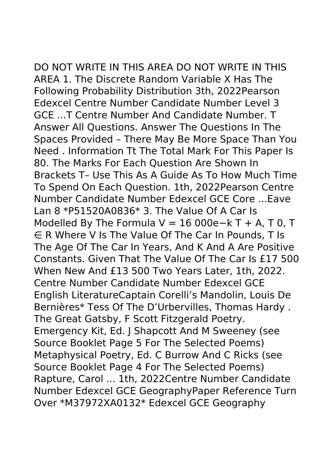DO NOT WRITE IN THIS AREA DO NOT WRITE IN THIS AREA 1. The Discrete Random Variable X Has The Following Probability Distribution 3th, 2022Pearson Edexcel Centre Number Candidate Number Level 3 GCE ...T Centre Number And Candidate Number. T Answer All Questions. Answer The Questions In The Spaces Provided – There May Be More Space Than You Need . Information Tt The Total Mark For This Paper Is 80. The Marks For Each Question Are Shown In Brackets T– Use This As A Guide As To How Much Time To Spend On Each Question. 1th, 2022Pearson Centre Number Candidate Number Edexcel GCE Core ...Eave Lan 8 \*P51520A0836\* 3. The Value Of A Car Is Modelled By The Formula V = 16 000e-k T + A, T 0, T ∈ R Where V Is The Value Of The Car In Pounds, T Is The Age Of The Car In Years, And K And A Are Positive Constants. Given That The Value Of The Car Is £17 500 When New And £13 500 Two Years Later, 1th, 2022. Centre Number Candidate Number Edexcel GCE English LiteratureCaptain Corelli's Mandolin, Louis De Bernières\* Tess Of The D'Urbervilles, Thomas Hardy . The Great Gatsby, F Scott Fitzgerald Poetry. Emergency Kit, Ed. J Shapcott And M Sweeney (see Source Booklet Page 5 For The Selected Poems) Metaphysical Poetry, Ed. C Burrow And C Ricks (see Source Booklet Page 4 For The Selected Poems) Rapture, Carol ... 1th, 2022Centre Number Candidate Number Edexcel GCE GeographyPaper Reference Turn Over \*M37972XA0132\* Edexcel GCE Geography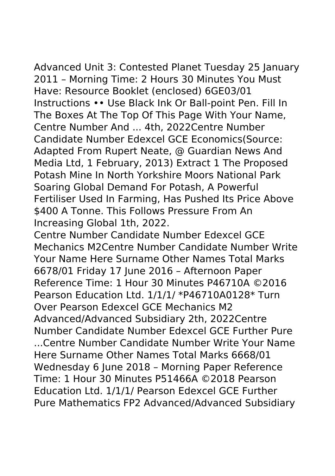Advanced Unit 3: Contested Planet Tuesday 25 January 2011 – Morning Time: 2 Hours 30 Minutes You Must Have: Resource Booklet (enclosed) 6GE03/01 Instructions •• Use Black Ink Or Ball-point Pen. Fill In The Boxes At The Top Of This Page With Your Name, Centre Number And ... 4th, 2022Centre Number Candidate Number Edexcel GCE Economics(Source: Adapted From Rupert Neate, @ Guardian News And Media Ltd, 1 February, 2013) Extract 1 The Proposed Potash Mine In North Yorkshire Moors National Park Soaring Global Demand For Potash, A Powerful Fertiliser Used In Farming, Has Pushed Its Price Above \$400 A Tonne. This Follows Pressure From An Increasing Global 1th, 2022.

Centre Number Candidate Number Edexcel GCE Mechanics M2Centre Number Candidate Number Write Your Name Here Surname Other Names Total Marks 6678/01 Friday 17 June 2016 – Afternoon Paper Reference Time: 1 Hour 30 Minutes P46710A ©2016 Pearson Education Ltd. 1/1/1/ \*P46710A0128\* Turn Over Pearson Edexcel GCE Mechanics M2 Advanced/Advanced Subsidiary 2th, 2022Centre Number Candidate Number Edexcel GCE Further Pure ...Centre Number Candidate Number Write Your Name Here Surname Other Names Total Marks 6668/01 Wednesday 6 June 2018 – Morning Paper Reference Time: 1 Hour 30 Minutes P51466A ©2018 Pearson Education Ltd. 1/1/1/ Pearson Edexcel GCE Further Pure Mathematics FP2 Advanced/Advanced Subsidiary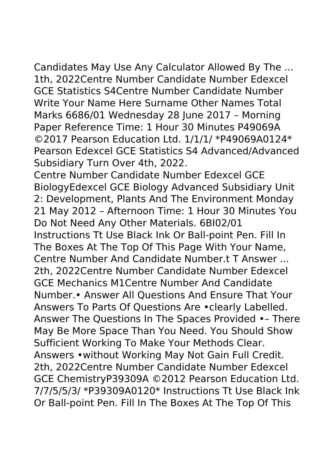Candidates May Use Any Calculator Allowed By The ... 1th, 2022Centre Number Candidate Number Edexcel GCE Statistics S4Centre Number Candidate Number Write Your Name Here Surname Other Names Total Marks 6686/01 Wednesday 28 June 2017 – Morning Paper Reference Time: 1 Hour 30 Minutes P49069A ©2017 Pearson Education Ltd. 1/1/1/ \*P49069A0124\* Pearson Edexcel GCE Statistics S4 Advanced/Advanced Subsidiary Turn Over 4th, 2022.

Centre Number Candidate Number Edexcel GCE BiologyEdexcel GCE Biology Advanced Subsidiary Unit 2: Development, Plants And The Environment Monday 21 May 2012 – Afternoon Time: 1 Hour 30 Minutes You Do Not Need Any Other Materials. 6BI02/01 Instructions Tt Use Black Ink Or Ball-point Pen. Fill In The Boxes At The Top Of This Page With Your Name, Centre Number And Candidate Number.t T Answer ... 2th, 2022Centre Number Candidate Number Edexcel GCE Mechanics M1Centre Number And Candidate Number.• Answer All Questions And Ensure That Your Answers To Parts Of Questions Are •clearly Labelled. Answer The Questions In The Spaces Provided •– There May Be More Space Than You Need. You Should Show Sufficient Working To Make Your Methods Clear. Answers •without Working May Not Gain Full Credit. 2th, 2022Centre Number Candidate Number Edexcel GCE ChemistryP39309A ©2012 Pearson Education Ltd. 7/7/5/5/3/ \*P39309A0120\* Instructions Tt Use Black Ink Or Ball-point Pen. Fill In The Boxes At The Top Of This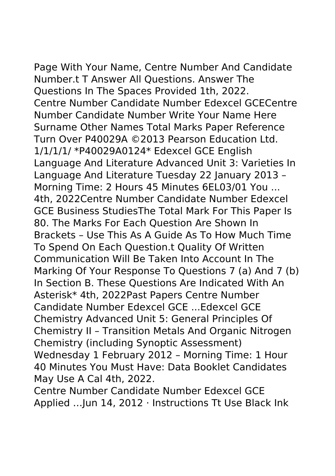Page With Your Name, Centre Number And Candidate Number.t T Answer All Questions. Answer The Questions In The Spaces Provided 1th, 2022. Centre Number Candidate Number Edexcel GCECentre Number Candidate Number Write Your Name Here Surname Other Names Total Marks Paper Reference Turn Over P40029A ©2013 Pearson Education Ltd. 1/1/1/1/ \*P40029A0124\* Edexcel GCE English Language And Literature Advanced Unit 3: Varieties In Language And Literature Tuesday 22 January 2013 – Morning Time: 2 Hours 45 Minutes 6EL03/01 You ... 4th, 2022Centre Number Candidate Number Edexcel GCE Business StudiesThe Total Mark For This Paper Is

80. The Marks For Each Question Are Shown In Brackets – Use This As A Guide As To How Much Time To Spend On Each Question.t Quality Of Written Communication Will Be Taken Into Account In The Marking Of Your Response To Questions 7 (a) And 7 (b) In Section B. These Questions Are Indicated With An Asterisk\* 4th, 2022Past Papers Centre Number Candidate Number Edexcel GCE ...Edexcel GCE Chemistry Advanced Unit 5: General Principles Of Chemistry II – Transition Metals And Organic Nitrogen Chemistry (including Synoptic Assessment) Wednesday 1 February 2012 – Morning Time: 1 Hour 40 Minutes You Must Have: Data Booklet Candidates May Use A Cal 4th, 2022.

Centre Number Candidate Number Edexcel GCE Applied …Jun 14, 2012 · Instructions Tt Use Black Ink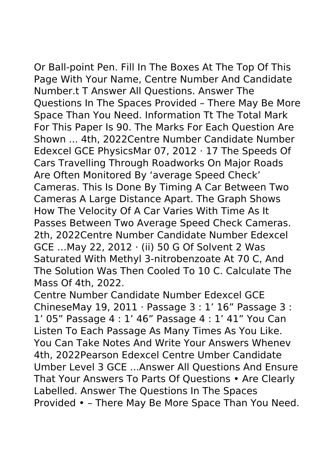Or Ball-point Pen. Fill In The Boxes At The Top Of This Page With Your Name, Centre Number And Candidate Number.t T Answer All Questions. Answer The Questions In The Spaces Provided – There May Be More Space Than You Need. Information Tt The Total Mark For This Paper Is 90. The Marks For Each Question Are Shown ... 4th, 2022Centre Number Candidate Number Edexcel GCE PhysicsMar 07, 2012 · 17 The Speeds Of Cars Travelling Through Roadworks On Major Roads Are Often Monitored By 'average Speed Check' Cameras. This Is Done By Timing A Car Between Two Cameras A Large Distance Apart. The Graph Shows How The Velocity Of A Car Varies With Time As It Passes Between Two Average Speed Check Cameras. 2th, 2022Centre Number Candidate Number Edexcel GCE …May 22, 2012 · (ii) 50 G Of Solvent 2 Was Saturated With Methyl 3-nitrobenzoate At 70 C, And The Solution Was Then Cooled To 10 C. Calculate The Mass Of 4th, 2022.

Centre Number Candidate Number Edexcel GCE ChineseMay 19, 2011 · Passage 3 : 1' 16" Passage 3 : 1' 05" Passage 4 : 1' 46" Passage 4 : 1' 41" You Can Listen To Each Passage As Many Times As You Like. You Can Take Notes And Write Your Answers Whenev 4th, 2022Pearson Edexcel Centre Umber Candidate Umber Level 3 GCE ...Answer All Questions And Ensure That Your Answers To Parts Of Questions • Are Clearly Labelled. Answer The Questions In The Spaces Provided • – There May Be More Space Than You Need.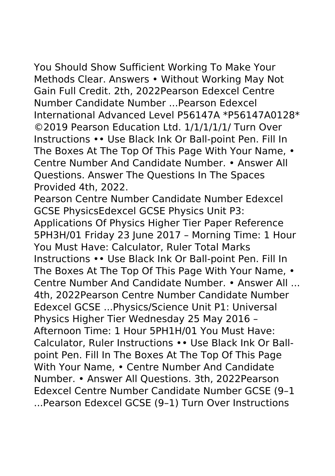You Should Show Sufficient Working To Make Your Methods Clear. Answers • Without Working May Not Gain Full Credit. 2th, 2022Pearson Edexcel Centre Number Candidate Number ...Pearson Edexcel International Advanced Level P56147A \*P56147A0128\* ©2019 Pearson Education Ltd. 1/1/1/1/1/ Turn Over Instructions •• Use Black Ink Or Ball‑point Pen. Fill In The Boxes At The Top Of This Page With Your Name, • Centre Number And Candidate Number. • Answer All Questions. Answer The Questions In The Spaces Provided 4th, 2022.

Pearson Centre Number Candidate Number Edexcel GCSE PhysicsEdexcel GCSE Physics Unit P3: Applications Of Physics Higher Tier Paper Reference 5PH3H/01 Friday 23 June 2017 – Morning Time: 1 Hour You Must Have: Calculator, Ruler Total Marks Instructions •• Use Black Ink Or Ball-point Pen. Fill In The Boxes At The Top Of This Page With Your Name, • Centre Number And Candidate Number. • Answer All ... 4th, 2022Pearson Centre Number Candidate Number Edexcel GCSE ...Physics/Science Unit P1: Universal Physics Higher Tier Wednesday 25 May 2016 – Afternoon Time: 1 Hour 5PH1H/01 You Must Have: Calculator, Ruler Instructions •• Use Black Ink Or Ballpoint Pen. Fill In The Boxes At The Top Of This Page With Your Name, • Centre Number And Candidate Number. • Answer All Questions. 3th, 2022Pearson Edexcel Centre Number Candidate Number GCSE (9–1 ...Pearson Edexcel GCSE (9–1) Turn Over Instructions